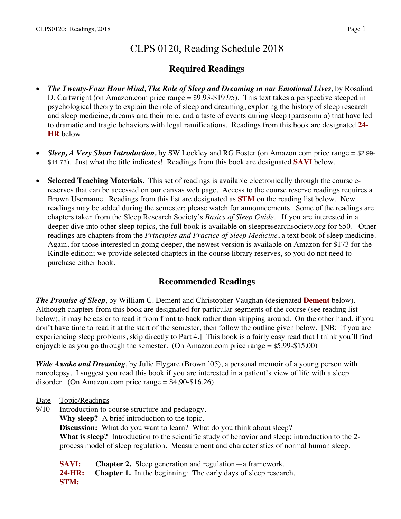# CLPS 0120, Reading Schedule 2018

# **Required Readings**

- *The Twenty-Four Hour Mind, The Role of Sleep and Dreaming in our Emotional Lives***,** by Rosalind D. Cartwright (on Amazon.com price range = \$9.93-\$19.95). This text takes a perspective steeped in psychological theory to explain the role of sleep and dreaming, exploring the history of sleep research and sleep medicine, dreams and their role, and a taste of events during sleep (parasomnia) that have led to dramatic and tragic behaviors with legal ramifications. Readings from this book are designated **24- HR** below.
- *Sleep, A Very Short Introduction*, by SW Lockley and RG Foster (on Amazon.com price range = \$2.99-\$11.73). Just what the title indicates! Readings from this book are designated **SAVI** below.
- **Selected Teaching Materials.** This set of readings is available electronically through the course ereserves that can be accessed on our canvas web page. Access to the course reserve readings requires a Brown Username. Readings from this list are designated as **STM** on the reading list below. New readings may be added during the semester; please watch for announcements. Some of the readings are chapters taken from the Sleep Research Society's *Basics of Sleep Guide.* If you are interested in a deeper dive into other sleep topics, the full book is available on sleepresearchsociety.org for \$50. Other readings are chapters from the *Principles and Practice of Sleep Medicine*, a text book of sleep medicine. Again, for those interested in going deeper, the newest version is available on Amazon for \$173 for the Kindle edition; we provide selected chapters in the course library reserves, so you do not need to purchase either book.

## **Recommended Readings**

*The Promise of Sleep*, by William C. Dement and Christopher Vaughan (designated **Dement** below). Although chapters from this book are designated for particular segments of the course (see reading list below), it may be easier to read it from front to back rather than skipping around. On the other hand, if you don't have time to read it at the start of the semester, then follow the outline given below. [NB: if you are experiencing sleep problems, skip directly to Part 4.] This book is a fairly easy read that I think you'll find enjoyable as you go through the semester. (On Amazon.com price range = \$5.99-\$15.00)

*Wide Awake and Dreaming*, by Julie Flygare (Brown '05), a personal memoir of a young person with narcolepsy. I suggest you read this book if you are interested in a patient's view of life with a sleep disorder. (On Amazon.com price range  $= $4.90 - $16.26$ )

- Date Topic/Readings
- 9/10 Introduction to course structure and pedagogy. **Why sleep?** A brief introduction to the topic. **Discussion:** What do you want to learn? What do you think about sleep? **What is sleep?** Introduction to the scientific study of behavior and sleep; introduction to the 2 process model of sleep regulation. Measurement and characteristics of normal human sleep.

**SAVI: Chapter 2.** Sleep generation and regulation—a framework. **24-HR: Chapter 1.** In the beginning: The early days of sleep research. **STM:**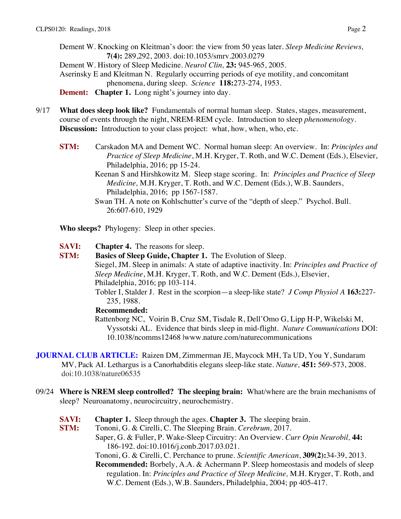Dement W. Knocking on Kleitman's door: the view from 50 yeas later. *Sleep Medicine Reviews,*  **7(4):** 289,292, 2003. doi:10.1053/smrv.2003.0279 Dement W. History of Sleep Medicine. *Neurol Clin,* **23:** 945-965, 2005. Aserinsky E and Kleitman N. Regularly occurring periods of eye motility, and concomitant phenomena, during sleep. *Science* **118:**273-274, 1953. **Dement:** Chapter 1. Long night's journey into day.

- 9/17 **What does sleep look like?** Fundamentals of normal human sleep. States, stages, measurement, course of events through the night, NREM-REM cycle. Introduction to sleep *phenomenology*. **Discussion:** Introduction to your class project: what, how, when, who, etc.
	- **STM:** Carskadon MA and Dement WC. Normal human sleep: An overview. In: *Principles and Practice of Sleep Medicine*, M.H. Kryger, T. Roth, and W.C. Dement (Eds.), Elsevier, Philadelphia, 2016; pp 15-24.
		- Keenan S and Hirshkowitz M. Sleep stage scoring. In: *Principles and Practice of Sleep Medicine,* M.H. Kryger, T. Roth, and W.C. Dement (Eds.), W.B. Saunders, Philadelphia, 2016; pp 1567-1587.
		- Swan TH. A note on Kohlschutter's curve of the "depth of sleep." Psychol. Bull. 26:607-610, 1929

**Who sleeps?** Phylogeny: Sleep in other species.

**SAVI: Chapter 4.** The reasons for sleep.

**STM: Basics of Sleep Guide, Chapter 1.** The Evolution of Sleep. Siegel, JM. Sleep in animals: A state of adaptive inactivity. In: *Principles and Practice of Sleep Medicine*, M.H. Kryger, T. Roth, and W.C. Dement (Eds.), Elsevier, Philadelphia, 2016; pp 103-114. Tobler I, Stalder J. Rest in the scorpion—a sleep-like state? *J Comp Physiol A* **163:**227- 235, 1988.

#### **Recommended:**

Rattenborg NC, Voirin B, Cruz SM, Tisdale R, Dell'Omo G, Lipp H-P, Wikelski M, Vyssotski AL. Evidence that birds sleep in mid-flight. *Nature Communications* DOI: 10.1038/ncomms12468 |www.nature.com/naturecommunications

**JOURNAL CLUB ARTICLE:** Raizen DM, Zimmerman JE, Maycock MH, Ta UD, You Y, Sundaram MV, Pack AI. Lethargus is a Canorhabditis elegans sleep-like state. *Nature,* **451:** 569-573, 2008. doi:10.1038/nature06535

- 09/24 **Where is NREM sleep controlled? The sleeping brain:** What/where are the brain mechanisms of sleep? Neuroanatomy, neurocircuitry, neurochemistry.
	- **SAVI: Chapter 1.** Sleep through the ages. **Chapter 3.** The sleeping brain.
	- **STM:** Tononi, G. & Cirelli, C. The Sleeping Brain. *Cerebrum,* 2017.
		- Saper, G. & Fuller, P. Wake-Sleep Circuitry: An Overview. *Curr Opin Neurobil,* **44:**  186-192. doi:10.1016/j.conb.2017.03.021.
			- Tononi, G. & Cirelli, C. Perchance to prune. *Scientific American*, **309(2):**34-39, 2013.

**Recommended:** Borbely, A.A. & Achermann P. Sleep homeostasis and models of sleep regulation. In: *Principles and Practice of Sleep Medicine,* M.H. Kryger, T. Roth, and W.C. Dement (Eds.), W.B. Saunders, Philadelphia, 2004; pp 405-417.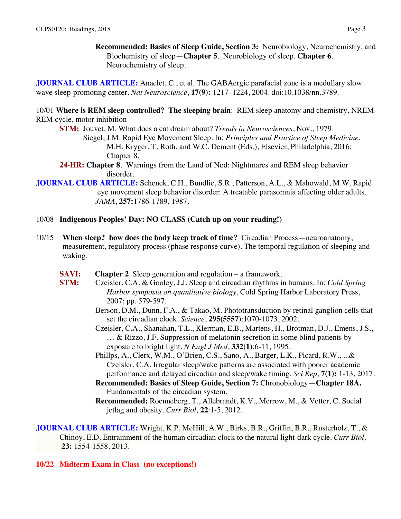**Recommended: Basics of Sleep Guide, Section 3:** Neurobiology, Neurochemistry, and Biochemistry of sleep—**Chapter 5**. Neurobiology of sleep. **Chapter 6**. Neurochemistry of sleep.

**JOURNAL CLUB ARTICLE:** Anaclet, C., et al. The GABAergic parafacial zone is a medullary slow wave sleep-promoting center. *Nat Neuroscience*, **17(9):** 1217–1224, 2004. doi:10.1038/nn.3789.

10/01 **Where is REM sleep controlled? The sleeping brain**: REM sleep anatomy and chemistry, NREM-REM cycle, motor inhibition

- **STM:** Jouvet, M. What does a cat dream about? *Trends in Neurosciences*, Nov., 1979. Siegel, J.M. Rapid Eye Movement Sleep. In: *Principles and Practice of Sleep Medicine*, M.H. Kryger, T. Roth, and W.C. Dement (Eds.), Elsevier, Philadelphia, 2016;
- Chapter 8. **24-HR: Chapter 8**. Warnings from the Land of Nod: Nightmares and REM sleep behavior disorder.
- **JOURNAL CLUB ARTICLE:** Schenck, C.H., Bundlie, S.R., Patterson, A.L., & Mahowald, M.W. Rapid eye movement sleep behavior disorder: A treatable parasomnia affecting older adults. *JAMA*, **257:**1786-1789, 1987.

### 10/08 **Indigenous Peoples' Day: NO CLASS (Catch up on your reading!)**

- 10/15 **When sleep? how does the body keep track of time?** Circadian Process—neuroanatomy, measurement, regulatory process (phase response curve). The temporal regulation of sleeping and waking.
	- **SAVI:** Chapter 2. Sleep generation and regulation a framework.
	- **STM:** Czeisler, C.A. & Gooley, J.J. Sleep and circadian rhythms in humans. In: *Cold Spring Harbor symposia on quantitative biology*, Cold Spring Harbor Laboratory Press, 2007; pp. 579-597.
		- Berson, D.M., Dunn, F.A., & Takao, M. Phototransduction by retinal ganglion cells that set the circadian clock. *Science*, **295(5557)**:1070-1073, 2002.
		- Czeisler, C.A., Shanahan, T.L., Klerman, E.B., Martens, H., Brotman, D.J., Emens, J.S., … & Rizzo, J.F. Suppression of melatonin secretion in some blind patients by exposure to bright light. *N Engl J Med*, **332(1)**:6-11, 1995.
		- Phillps, A., Clerx, W.M., O'Brien, C.S., Sano, A., Barger, L.K., Picard, R.W., ...& Czeisler, C.A. Irregular sleep/wake patterns are associated with poorer academic performance and delayed circadian and sleep/wake timing. *Sci Rep,* **7(1):** 1-13, 2017.
		- **Recommended: Basics of Sleep Guide, Section 7:** Chronobiology—**Chapter 18A.** Fundamentals of the circadian system.
		- **Recommended:** Roenneberg, T., Allebrandt, K.V., Merrow, M., & Vetter, C. Social jetlag and obesity. *Curr Biol,* **22**:1-5, 2012.

**JOURNAL CLUB ARTICLE:** Wright, K.P, McHill, A.W., Birks, B.R., Griffin, B.R., Rusterholz, T., & Chinoy, E.D. Entrainment of the human circadian clock to the natural light-dark cycle. *Curr Biol,* **23:** 1554-1558. 2013.

### **10/22 Midterm Exam in Class (no exceptions!)**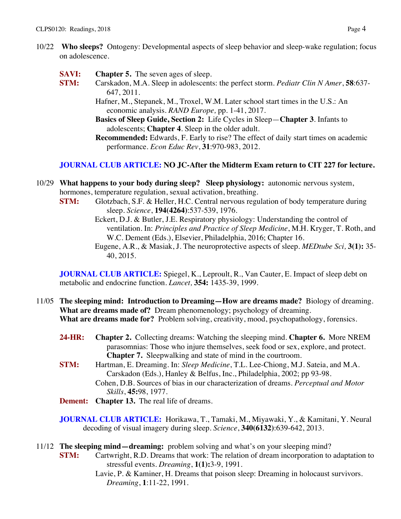- 10/22 **Who sleeps?** Ontogeny: Developmental aspects of sleep behavior and sleep-wake regulation; focus on adolescence.
	- **SAVI: Chapter 5.** The seven ages of sleep.
	- **STM:** Carskadon, M.A. Sleep in adolescents: the perfect storm. *Pediatr Clin N Amer*, **58**:637- 647, 2011.

Hafner, M., Stepanek, M., Troxel, W.M. Later school start times in the U.S.: An economic analysis. *RAND Europe,* pp. 1-41, 2017.

**Basics of Sleep Guide, Section 2:** Life Cycles in Sleep—**Chapter 3**. Infants to adolescents; **Chapter 4**. Sleep in the older adult.

**Recommended:** Edwards, F. Early to rise? The effect of daily start times on academic performance. *Econ Educ Rev*, **31**:970-983, 2012.

#### **JOURNAL CLUB ARTICLE: NO JC-After the Midterm Exam return to CIT 227 for lecture.**

- 10/29 **What happens to your body during sleep? Sleep physiology:** autonomic nervous system, hormones, temperature regulation, sexual activation, breathing.
	- **STM:** Glotzbach, S.F. & Heller, H.C. Central nervous regulation of body temperature during sleep. *Science*, **194(4264)**:537-539, 1976.
		- Eckert, D.J. & Butler, J.E. Respiratory physiology: Understanding the control of ventilation. In: *Principles and Practice of Sleep Medicine*, M.H. Kryger, T. Roth, and W.C. Dement (Eds.), Elsevier, Philadelphia, 2016; Chapter 16.
		- Eugene, A.R., & Masiak, J. The neuroprotective aspects of sleep. *MEDtube Sci,* **3(1):** 35- 40, 2015.

**JOURNAL CLUB ARTICLE:** Spiegel, K., Leproult, R., Van Cauter, E. Impact of sleep debt on metabolic and endocrine function. *Lancet,* **354:** 1435-39, 1999.

- 11/05 **The sleeping mind: Introduction to Dreaming—How are dreams made?** Biology of dreaming. **What are dreams made of?** Dream phenomenology; psychology of dreaming. **What are dreams made for?** Problem solving, creativity, mood, psychopathology, forensics.
	- **24-HR: Chapter 2.** Collecting dreams: Watching the sleeping mind. **Chapter 6.** More NREM parasomnias: Those who injure themselves, seek food or sex, explore, and protect. **Chapter 7.** Sleepwalking and state of mind in the courtroom.
	- **STM:** Hartman, E. Dreaming. In: *Sleep Medicine*, T.L. Lee-Chiong, M.J. Sateia, and M.A. Carskadon (Eds.), Hanley & Belfus, Inc., Philadelphia, 2002; pp 93-98. Cohen, D.B. Sources of bias in our characterization of dreams. *Perceptual and Motor Skills*, **45:**98, 1977.
	- **Dement: Chapter 13.** The real life of dreams.

**JOURNAL CLUB ARTICLE:** Horikawa, T., Tamaki, M., Miyawaki, Y., & Kamitani, Y. Neural decoding of visual imagery during sleep. *Science*, **340(6132)**:639-642, 2013.

- 11/12 **The sleeping mind—dreaming:** problem solving and what's on your sleeping mind?
	- **STM:** Cartwright, R.D. Dreams that work: The relation of dream incorporation to adaptation to stressful events. *Dreaming*, **1(1):**3-9, 1991.
		- Lavie, P. & Kaminer, H. Dreams that poison sleep: Dreaming in holocaust survivors. *Dreaming*, **1**:11-22, 1991.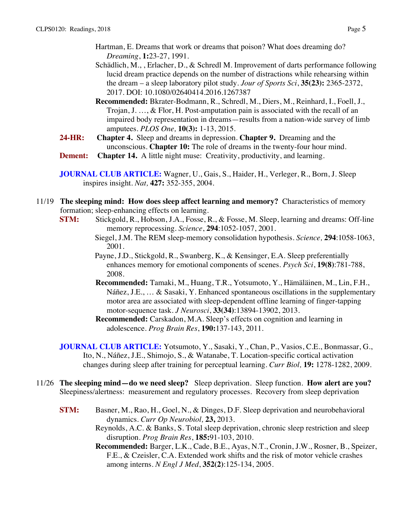- Hartman, E. Dreams that work or dreams that poison? What does dreaming do? *Dreaming*, **1:**23-27, 1991.
- Schädlich, M., , Erlacher, D., & Schredl M. Improvement of darts performance following lucid dream practice depends on the number of distractions while rehearsing within the dream – a sleep laboratory pilot study. *Jour of Sports Sci*, **35(23):** 2365-2372, 2017. DOI: 10.1080/02640414.2016.1267387
- **Recommended:** Bkrater-Bodmann, R., Schredl, M., Diers, M., Reinhard, I., Foell, J., Trojan, J. …, & Flor, H. Post-amputation pain is associated with the recall of an impaired body representation in dreams—results from a nation-wide survey of limb amputees. *PLOS One,* **10(3):** 1-13, 2015.
- **24-HR: Chapter 4.** Sleep and dreams in depression. **Chapter 9.** Dreaming and the unconscious. **Chapter 10:** The role of dreams in the twenty-four hour mind.
- **Dement:** Chapter 14. A little night muse: Creativity, productivity, and learning.

- 11/19 **The sleeping mind: How does sleep affect learning and memory?** Characteristics of memory formation; sleep-enhancing effects on learning.
	- **STM:** Stickgold, R., Hobson, J.A., Fosse, R., & Fosse, M. Sleep, learning and dreams: Off-line memory reprocessing. *Science*, **294**:1052-1057, 2001.
		- Siegel, J.M. The REM sleep-memory consolidation hypothesis. *Science,* **294**:1058-1063, 2001.
		- Payne, J.D., Stickgold, R., Swanberg, K., & Kensinger, E.A. Sleep preferentially enhances memory for emotional components of scenes. *Psych Sci*, **19(8)**:781-788, 2008.
		- **Recommended:** Tamaki, M., Huang, T.R., Yotsumoto, Y., Hämäläinen, M., Lin, F.H., Náñez, J.E., … & Sasaki, Y. Enhanced spontaneous oscillations in the supplementary motor area are associated with sleep-dependent offline learning of finger-tapping motor-sequence task. *J Neurosci*, **33(34)**:13894-13902, 2013.
		- **Recommended:** Carskadon, M.A. Sleep's effects on cognition and learning in adolescence. *Prog Brain Res*, **190:**137-143, 2011.
	- **JOURNAL CLUB ARTICLE:** Yotsumoto, Y., Sasaki, Y., Chan, P., Vasios, C.E., Bonmassar, G., Ito, N., Náñez, J.E., Shimojo, S., & Watanabe, T. Location-specific cortical activation changes during sleep after training for perceptual learning. *Curr Biol,* **19:** 1278-1282, 2009.
- 11/26 **The sleeping mind—do we need sleep?** Sleep deprivation. Sleep function. **How alert are you?**  Sleepiness/alertness: measurement and regulatory processes. Recovery from sleep deprivation
	- **STM:** Basner, M., Rao, H., Goel, N., & Dinges, D.F. Sleep deprivation and neurobehavioral dynamics. *Curr Op Neurobiol,* **23,** 2013. Reynolds, A.C. & Banks, S. Total sleep deprivation, chronic sleep restriction and sleep
		- disruption. *Prog Brain Res*, **185:**91-103, 2010.
		- **Recommended:** Barger, L.K., Cade, B.E., Ayas, N.T., Cronin, J.W., Rosner, B., Speizer, F.E., & Czeisler, C.A. Extended work shifts and the risk of motor vehicle crashes among interns. *N Engl J Med*, **352(2)**:125-134, 2005.

**JOURNAL CLUB ARTICLE:** Wagner, U., Gais, S., Haider, H., Verleger, R., Born, J. Sleep inspires insight. *Nat,* **427:** 352-355, 2004.